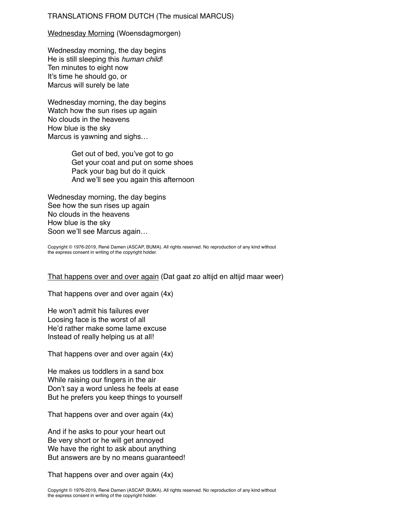## TRANSLATIONS FROM DUTCH (The musical MARCUS)

## Wednesday Morning (Woensdagmorgen)

Wednesday morning, the day begins He is still sleeping this *human child*! Ten minutes to eight now It's time he should go, or Marcus will surely be late

Wednesday morning, the day begins Watch how the sun rises up again No clouds in the heavens How blue is the sky Marcus is yawning and sighs…

> Get out of bed, you've got to go Get your coat and put on some shoes Pack your bag but do it quick And we'll see you again this afternoon

Wednesday morning, the day begins See how the sun rises up again No clouds in the heavens How blue is the sky Soon we'll see Marcus again…

Copyright © 1976-2019, René Damen (ASCAP, BUMA). All rights reserved. No reproduction of any kind without the express consent in writing of the copyright holder.

## That happens over and over again (Dat gaat zo altijd en altijd maar weer)

That happens over and over again (4x)

He won't admit his failures ever Loosing face is the worst of all He'd rather make some lame excuse Instead of really helping us at all!

That happens over and over again (4x)

He makes us toddlers in a sand box While raising our fingers in the air Don't say a word unless he feels at ease But he prefers you keep things to yourself

That happens over and over again (4x)

And if he asks to pour your heart out Be very short or he will get annoyed We have the right to ask about anything But answers are by no means guaranteed!

That happens over and over again (4x)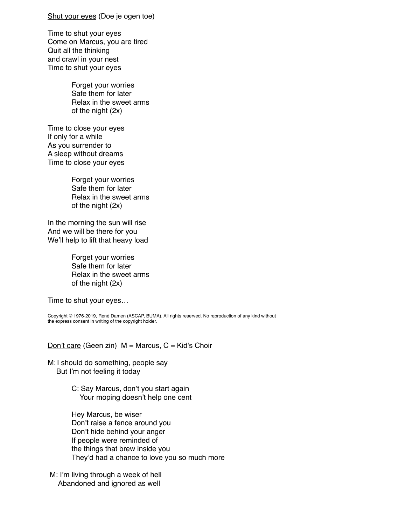## Shut your eyes (Doe je ogen toe)

Time to shut your eyes Come on Marcus, you are tired Quit all the thinking and crawl in your nest Time to shut your eyes

> Forget your worries Safe them for later Relax in the sweet arms of the night (2x)

Time to close your eyes If only for a while As you surrender to A sleep without dreams Time to close your eyes

> Forget your worries Safe them for later Relax in the sweet arms of the night (2x)

In the morning the sun will rise And we will be there for you We'll help to lift that heavy load

> Forget your worries Safe them for later Relax in the sweet arms of the night (2x)

Time to shut your eyes…

Copyright © 1976-2019, René Damen (ASCAP, BUMA). All rights reserved. No reproduction of any kind without the express consent in writing of the copyright holder.

Don't care (Geen zin)  $M =$  Marcus,  $C =$  Kid's Choir

M: I should do something, people say But I'm not feeling it today

> C: Say Marcus, don't you start again Your moping doesn't help one cent

Hey Marcus, be wiser Don't raise a fence around you Don't hide behind your anger If people were reminded of the things that brew inside you They'd had a chance to love you so much more

 M: I'm living through a week of hell Abandoned and ignored as well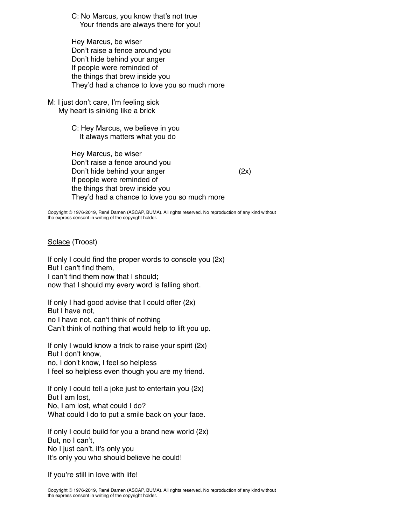C: No Marcus, you know that's not true Your friends are always there for you!

Hey Marcus, be wiser Don't raise a fence around you Don't hide behind your anger If people were reminded of the things that brew inside you They'd had a chance to love you so much more

M: I just don't care, I'm feeling sick My heart is sinking like a brick

> C: Hey Marcus, we believe in you It always matters what you do

Hey Marcus, be wiser Don't raise a fence around you Don't hide behind your anger (2x) If people were reminded of the things that brew inside you They'd had a chance to love you so much more

Copyright © 1976-2019, René Damen (ASCAP, BUMA). All rights reserved. No reproduction of any kind without the express consent in writing of the copyright holder.

Solace (Troost)

If only I could find the proper words to console you (2x) But I can't find them, I can't find them now that I should; now that I should my every word is falling short.

If only I had good advise that I could offer (2x) But I have not, no I have not, can't think of nothing Can't think of nothing that would help to lift you up.

If only I would know a trick to raise your spirit (2x) But I don't know, no, I don't know, I feel so helpless I feel so helpless even though you are my friend.

If only I could tell a joke just to entertain you (2x) But I am lost, No, I am lost, what could I do? What could I do to put a smile back on your face.

If only I could build for you a brand new world (2x) But, no I can't, No I just can't, it's only you It's only you who should believe he could!

If you're still in love with life!